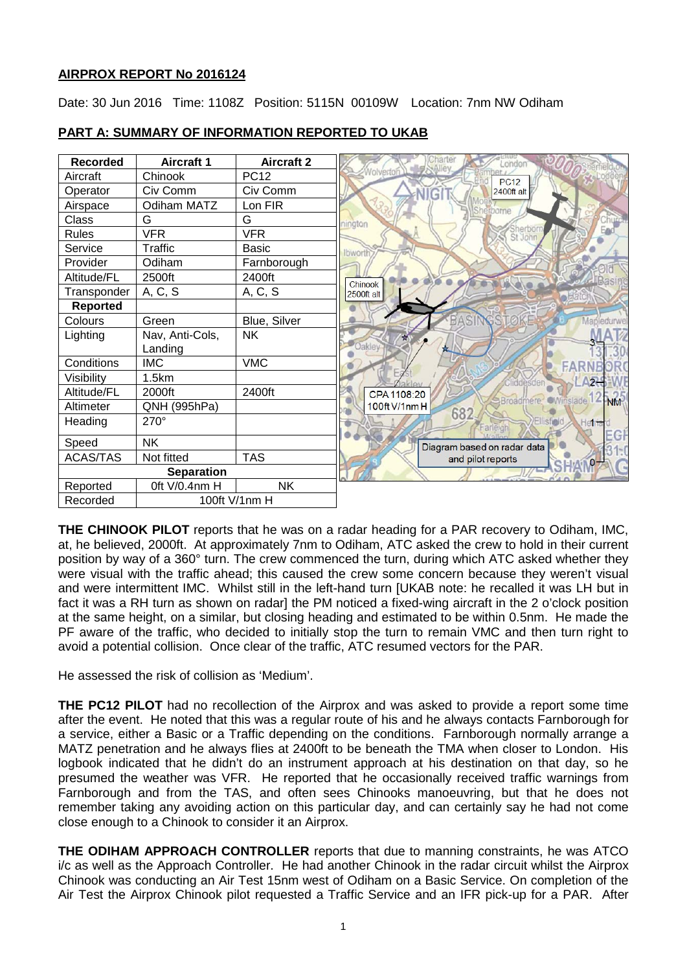# **AIRPROX REPORT No 2016124**

Date: 30 Jun 2016 Time: 1108Z Position: 5115N 00109W Location: 7nm NW Odiham

| <b>Recorded</b>   | <b>Aircraft 1</b> | <b>Aircraft 2</b> | London<br>Alley                                    |
|-------------------|-------------------|-------------------|----------------------------------------------------|
| Aircraft          | Chinook           | <b>PC12</b>       | <b>PC12</b>                                        |
| Operator          | Civ Comm          | Civ Comm          | 2400ft alt<br>Ğ                                    |
| Airspace          | Odiham MATZ       | Lon FIR           | herborne                                           |
| Class             | G                 | G                 | nington                                            |
| Rules             | <b>VFR</b>        | <b>VFR</b>        | Sherbo<br>John                                     |
| Service           | Traffic           | <b>Basic</b>      | Ibworth                                            |
| Provider          | Odiham            | Farnborough       |                                                    |
| Altitude/FL       | 2500ft            | 2400ft            | Chinook                                            |
| Transponder       | A, C, S           | A, C, S           | 2500ft alt                                         |
| <b>Reported</b>   |                   |                   |                                                    |
| Colours           | Green             | Blue, Silver      | Mapledurwe                                         |
| Lighting          | Nav, Anti-Cols,   | <b>NK</b>         |                                                    |
|                   | Landing           |                   | akley                                              |
| Conditions        | <b>IMC</b>        | <b>VMC</b>        | <b>EARN</b>                                        |
| Visibility        | 1.5km             |                   | $2 -$<br>Cliddesden                                |
| Altitude/FL       | 2000ft            | 2400ft            | CPA 1108:20<br>Broadmere Winslade <sup>12</sup> NM |
| Altimeter         | QNH (995hPa)      |                   | 100ft V/1nm H<br>682                               |
| Heading           | $270^\circ$       |                   | <b>Ellisfield</b><br>Herria<br>arleigh<br>Gł       |
| Speed             | <b>NK</b>         |                   | Diagram based on radar data                        |
| <b>ACAS/TAS</b>   | Not fitted        | <b>TAS</b>        | and pilot reports                                  |
| <b>Separation</b> |                   |                   |                                                    |
| Reported          | Oft V/0.4nm H     | <b>NK</b>         |                                                    |
| Recorded          | 100ft V/1nm H     |                   |                                                    |

# **PART A: SUMMARY OF INFORMATION REPORTED TO UKAB**

**THE CHINOOK PILOT** reports that he was on a radar heading for a PAR recovery to Odiham, IMC, at, he believed, 2000ft. At approximately 7nm to Odiham, ATC asked the crew to hold in their current position by way of a 360° turn. The crew commenced the turn, during which ATC asked whether they were visual with the traffic ahead; this caused the crew some concern because they weren't visual and were intermittent IMC. Whilst still in the left-hand turn [UKAB note: he recalled it was LH but in fact it was a RH turn as shown on radar] the PM noticed a fixed-wing aircraft in the 2 o'clock position at the same height, on a similar, but closing heading and estimated to be within 0.5nm. He made the PF aware of the traffic, who decided to initially stop the turn to remain VMC and then turn right to avoid a potential collision. Once clear of the traffic, ATC resumed vectors for the PAR.

He assessed the risk of collision as 'Medium'.

**THE PC12 PILOT** had no recollection of the Airprox and was asked to provide a report some time after the event. He noted that this was a regular route of his and he always contacts Farnborough for a service, either a Basic or a Traffic depending on the conditions. Farnborough normally arrange a MATZ penetration and he always flies at 2400ft to be beneath the TMA when closer to London. His logbook indicated that he didn't do an instrument approach at his destination on that day, so he presumed the weather was VFR. He reported that he occasionally received traffic warnings from Farnborough and from the TAS, and often sees Chinooks manoeuvring, but that he does not remember taking any avoiding action on this particular day, and can certainly say he had not come close enough to a Chinook to consider it an Airprox.

**THE ODIHAM APPROACH CONTROLLER** reports that due to manning constraints, he was ATCO i/c as well as the Approach Controller. He had another Chinook in the radar circuit whilst the Airprox Chinook was conducting an Air Test 15nm west of Odiham on a Basic Service. On completion of the Air Test the Airprox Chinook pilot requested a Traffic Service and an IFR pick-up for a PAR. After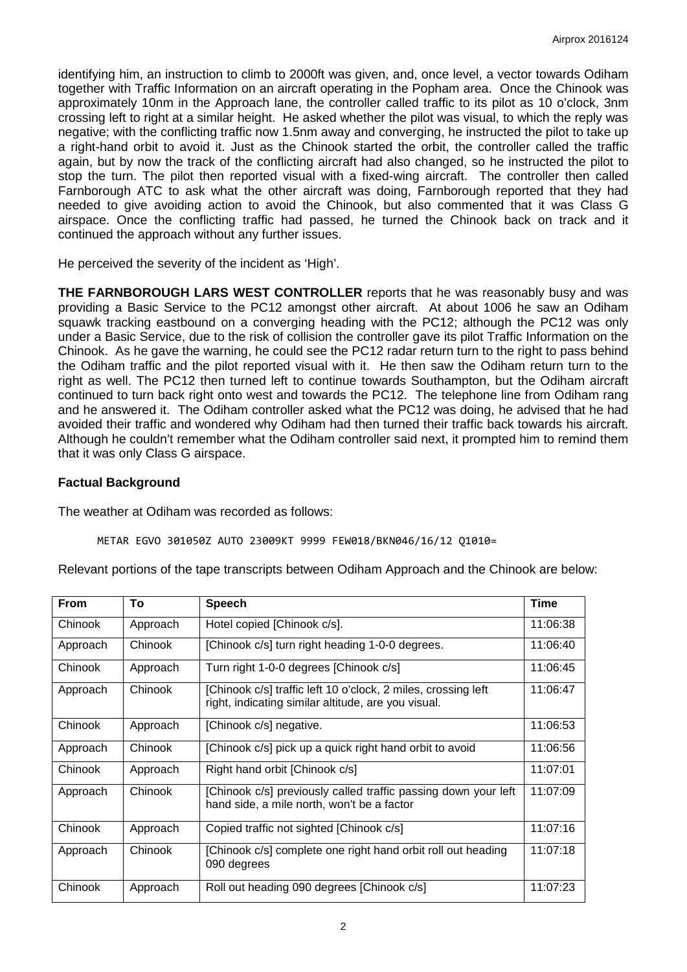identifying him, an instruction to climb to 2000ft was given, and, once level, a vector towards Odiham together with Traffic Information on an aircraft operating in the Popham area. Once the Chinook was approximately 10nm in the Approach lane, the controller called traffic to its pilot as 10 o'clock, 3nm crossing left to right at a similar height. He asked whether the pilot was visual, to which the reply was negative; with the conflicting traffic now 1.5nm away and converging, he instructed the pilot to take up a right-hand orbit to avoid it. Just as the Chinook started the orbit, the controller called the traffic again, but by now the track of the conflicting aircraft had also changed, so he instructed the pilot to stop the turn. The pilot then reported visual with a fixed-wing aircraft. The controller then called Farnborough ATC to ask what the other aircraft was doing, Farnborough reported that they had needed to give avoiding action to avoid the Chinook, but also commented that it was Class G airspace. Once the conflicting traffic had passed, he turned the Chinook back on track and it continued the approach without any further issues.

He perceived the severity of the incident as 'High'.

**THE FARNBOROUGH LARS WEST CONTROLLER** reports that he was reasonably busy and was providing a Basic Service to the PC12 amongst other aircraft. At about 1006 he saw an Odiham squawk tracking eastbound on a converging heading with the PC12; although the PC12 was only under a Basic Service, due to the risk of collision the controller gave its pilot Traffic Information on the Chinook. As he gave the warning, he could see the PC12 radar return turn to the right to pass behind the Odiham traffic and the pilot reported visual with it. He then saw the Odiham return turn to the right as well. The PC12 then turned left to continue towards Southampton, but the Odiham aircraft continued to turn back right onto west and towards the PC12. The telephone line from Odiham rang and he answered it. The Odiham controller asked what the PC12 was doing, he advised that he had avoided their traffic and wondered why Odiham had then turned their traffic back towards his aircraft. Although he couldn't remember what the Odiham controller said next, it prompted him to remind them that it was only Class G airspace.

## **Factual Background**

The weather at Odiham was recorded as follows:

METAR EGVO 301050Z AUTO 23009KT 9999 FEW018/BKN046/16/12 Q1010=

Relevant portions of the tape transcripts between Odiham Approach and the Chinook are below:

| <b>From</b> | To       | <b>Speech</b>                                                                                                        |          |
|-------------|----------|----------------------------------------------------------------------------------------------------------------------|----------|
| Chinook     | Approach | Hotel copied [Chinook c/s].                                                                                          |          |
| Approach    | Chinook  | [Chinook c/s] turn right heading 1-0-0 degrees.                                                                      |          |
| Chinook     | Approach | Turn right 1-0-0 degrees [Chinook c/s]                                                                               |          |
| Approach    | Chinook  | [Chinook c/s] traffic left 10 o'clock, 2 miles, crossing left<br>right, indicating similar altitude, are you visual. |          |
| Chinook     | Approach | [Chinook c/s] negative.                                                                                              | 11:06:53 |
| Approach    | Chinook  | [Chinook c/s] pick up a quick right hand orbit to avoid                                                              | 11:06:56 |
| Chinook     | Approach | Right hand orbit [Chinook c/s]                                                                                       | 11:07:01 |
| Approach    | Chinook  | [Chinook c/s] previously called traffic passing down your left<br>hand side, a mile north, won't be a factor         | 11:07:09 |
| Chinook     | Approach | Copied traffic not sighted [Chinook c/s]                                                                             | 11:07:16 |
| Approach    | Chinook  | [Chinook c/s] complete one right hand orbit roll out heading<br>090 degrees                                          | 11:07:18 |
| Chinook     | Approach | Roll out heading 090 degrees [Chinook c/s]                                                                           | 11:07:23 |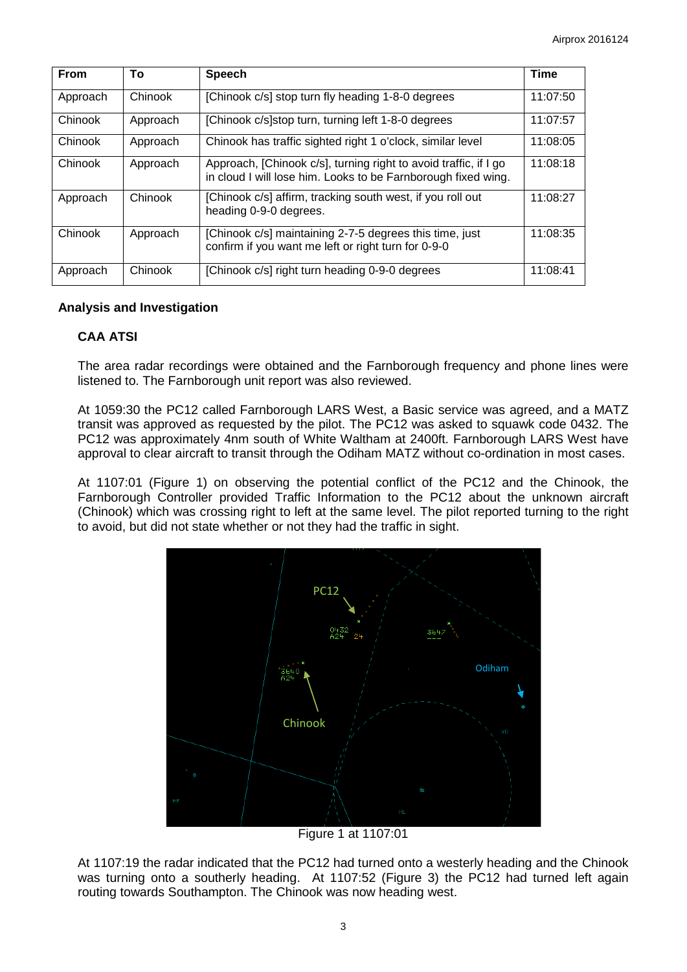| <b>From</b> | To       | <b>Speech</b>                                                                                                                     | <b>Time</b> |
|-------------|----------|-----------------------------------------------------------------------------------------------------------------------------------|-------------|
| Approach    | Chinook  | [Chinook c/s] stop turn fly heading 1-8-0 degrees                                                                                 | 11:07:50    |
| Chinook     | Approach | [Chinook c/s]stop turn, turning left 1-8-0 degrees                                                                                | 11:07:57    |
| Chinook     | Approach | Chinook has traffic sighted right 1 o'clock, similar level                                                                        | 11:08:05    |
| Chinook     | Approach | Approach, [Chinook c/s], turning right to avoid traffic, if I go<br>in cloud I will lose him. Looks to be Farnborough fixed wing. | 11:08:18    |
| Approach    | Chinook  | [Chinook c/s] affirm, tracking south west, if you roll out<br>heading 0-9-0 degrees.                                              | 11:08:27    |
| Chinook     | Approach | [Chinook c/s] maintaining 2-7-5 degrees this time, just<br>confirm if you want me left or right turn for 0-9-0                    | 11:08:35    |
| Approach    | Chinook  | [Chinook c/s] right turn heading 0-9-0 degrees                                                                                    | 11:08:41    |

## **Analysis and Investigation**

# **CAA ATSI**

The area radar recordings were obtained and the Farnborough frequency and phone lines were listened to. The Farnborough unit report was also reviewed.

At 1059:30 the PC12 called Farnborough LARS West, a Basic service was agreed, and a MATZ transit was approved as requested by the pilot. The PC12 was asked to squawk code 0432. The PC12 was approximately 4nm south of White Waltham at 2400ft. Farnborough LARS West have approval to clear aircraft to transit through the Odiham MATZ without co-ordination in most cases.

At 1107:01 (Figure 1) on observing the potential conflict of the PC12 and the Chinook, the Farnborough Controller provided Traffic Information to the PC12 about the unknown aircraft (Chinook) which was crossing right to left at the same level. The pilot reported turning to the right to avoid, but did not state whether or not they had the traffic in sight.



Figure 1 at 1107:01

At 1107:19 the radar indicated that the PC12 had turned onto a westerly heading and the Chinook was turning onto a southerly heading. At 1107:52 (Figure 3) the PC12 had turned left again routing towards Southampton. The Chinook was now heading west.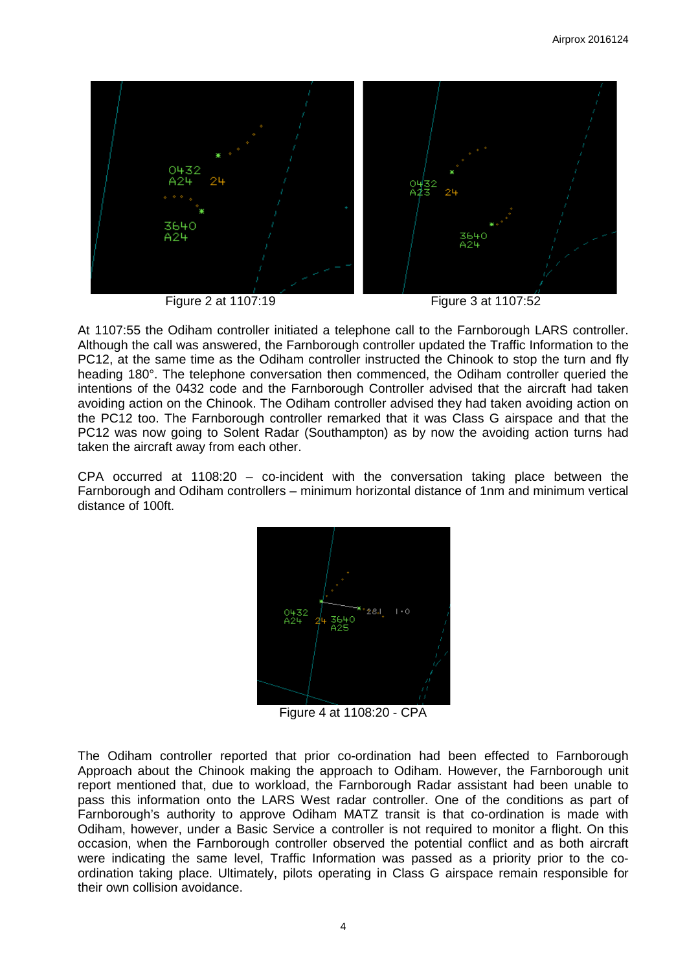

At 1107:55 the Odiham controller initiated a telephone call to the Farnborough LARS controller. Although the call was answered, the Farnborough controller updated the Traffic Information to the PC12, at the same time as the Odiham controller instructed the Chinook to stop the turn and fly heading 180°. The telephone conversation then commenced, the Odiham controller queried the intentions of the 0432 code and the Farnborough Controller advised that the aircraft had taken avoiding action on the Chinook. The Odiham controller advised they had taken avoiding action on the PC12 too. The Farnborough controller remarked that it was Class G airspace and that the PC12 was now going to Solent Radar (Southampton) as by now the avoiding action turns had taken the aircraft away from each other.

CPA occurred at 1108:20 – co-incident with the conversation taking place between the Farnborough and Odiham controllers – minimum horizontal distance of 1nm and minimum vertical distance of 100ft.



Figure 4 at 1108:20 - CPA

The Odiham controller reported that prior co-ordination had been effected to Farnborough Approach about the Chinook making the approach to Odiham. However, the Farnborough unit report mentioned that, due to workload, the Farnborough Radar assistant had been unable to pass this information onto the LARS West radar controller. One of the conditions as part of Farnborough's authority to approve Odiham MATZ transit is that co-ordination is made with Odiham, however, under a Basic Service a controller is not required to monitor a flight. On this occasion, when the Farnborough controller observed the potential conflict and as both aircraft were indicating the same level, Traffic Information was passed as a priority prior to the coordination taking place. Ultimately, pilots operating in Class G airspace remain responsible for their own collision avoidance.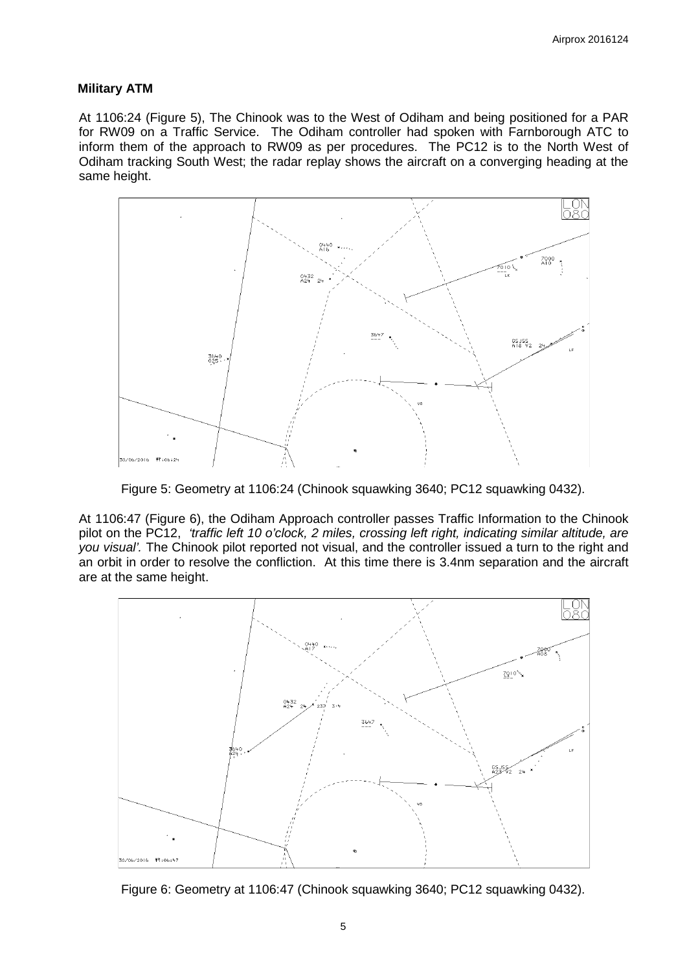## **Military ATM**

At 1106:24 (Figure 5), The Chinook was to the West of Odiham and being positioned for a PAR for RW09 on a Traffic Service. The Odiham controller had spoken with Farnborough ATC to inform them of the approach to RW09 as per procedures. The PC12 is to the North West of Odiham tracking South West; the radar replay shows the aircraft on a converging heading at the same height.



Figure 5: Geometry at 1106:24 (Chinook squawking 3640; PC12 squawking 0432).

At 1106:47 (Figure 6), the Odiham Approach controller passes Traffic Information to the Chinook pilot on the PC12, *'traffic left 10 o'clock, 2 miles, crossing left right, indicating similar altitude, are you visual'.* The Chinook pilot reported not visual, and the controller issued a turn to the right and an orbit in order to resolve the confliction. At this time there is 3.4nm separation and the aircraft are at the same height.



Figure 6: Geometry at 1106:47 (Chinook squawking 3640; PC12 squawking 0432).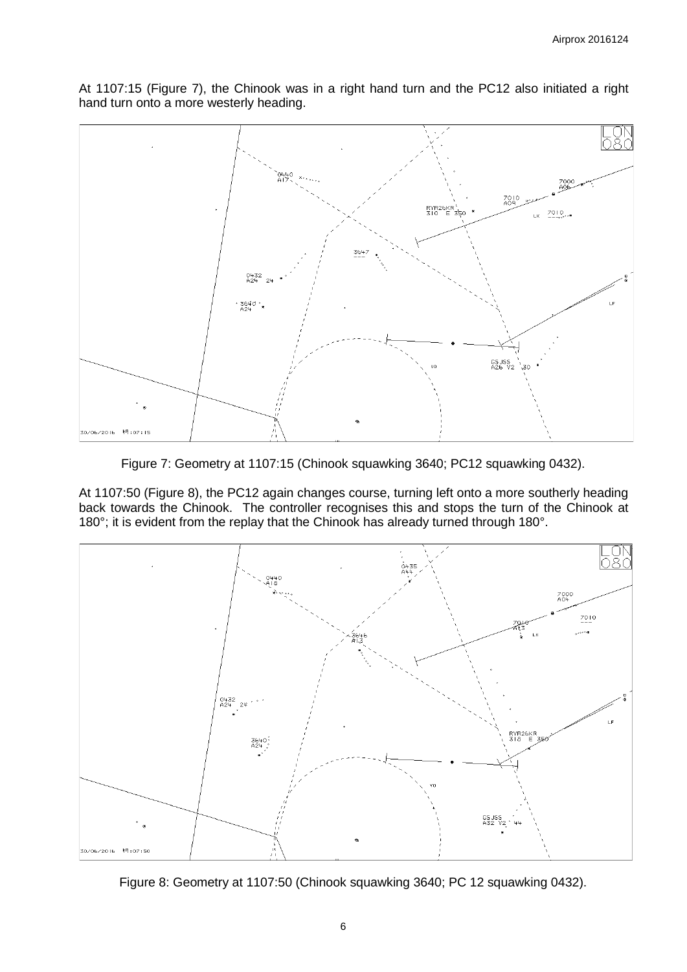At 1107:15 (Figure 7), the Chinook was in a right hand turn and the PC12 also initiated a right hand turn onto a more westerly heading.



Figure 7: Geometry at 1107:15 (Chinook squawking 3640; PC12 squawking 0432).

At 1107:50 (Figure 8), the PC12 again changes course, turning left onto a more southerly heading back towards the Chinook. The controller recognises this and stops the turn of the Chinook at 180°; it is evident from the replay that the Chinook has already turned through 180°.



Figure 8: Geometry at 1107:50 (Chinook squawking 3640; PC 12 squawking 0432).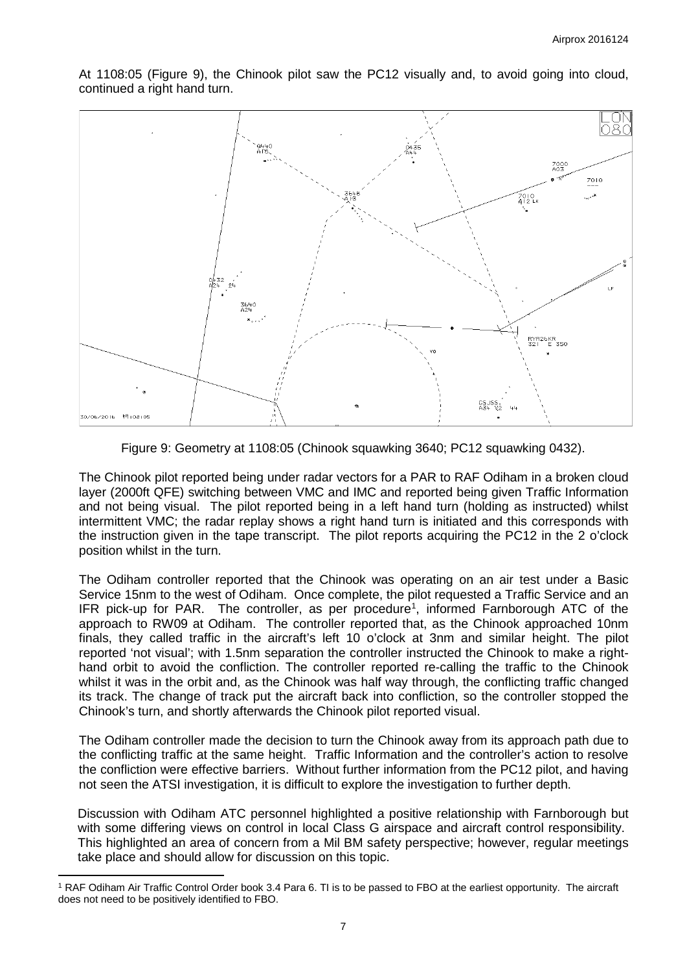At 1108:05 (Figure 9), the Chinook pilot saw the PC12 visually and, to avoid going into cloud, continued a right hand turn.



Figure 9: Geometry at 1108:05 (Chinook squawking 3640; PC12 squawking 0432).

The Chinook pilot reported being under radar vectors for a PAR to RAF Odiham in a broken cloud layer (2000ft QFE) switching between VMC and IMC and reported being given Traffic Information and not being visual. The pilot reported being in a left hand turn (holding as instructed) whilst intermittent VMC; the radar replay shows a right hand turn is initiated and this corresponds with the instruction given in the tape transcript. The pilot reports acquiring the PC12 in the 2 o'clock position whilst in the turn.

The Odiham controller reported that the Chinook was operating on an air test under a Basic Service 15nm to the west of Odiham. Once complete, the pilot requested a Traffic Service and an IFR pick-up for PAR. The controller, as per procedure<sup>[1](#page-6-0)</sup>, informed Farnborough ATC of the approach to RW09 at Odiham. The controller reported that, as the Chinook approached 10nm finals, they called traffic in the aircraft's left 10 o'clock at 3nm and similar height. The pilot reported 'not visual'; with 1.5nm separation the controller instructed the Chinook to make a righthand orbit to avoid the confliction. The controller reported re-calling the traffic to the Chinook whilst it was in the orbit and, as the Chinook was half way through, the conflicting traffic changed its track. The change of track put the aircraft back into confliction, so the controller stopped the Chinook's turn, and shortly afterwards the Chinook pilot reported visual.

The Odiham controller made the decision to turn the Chinook away from its approach path due to the conflicting traffic at the same height. Traffic Information and the controller's action to resolve the confliction were effective barriers. Without further information from the PC12 pilot, and having not seen the ATSI investigation, it is difficult to explore the investigation to further depth.

Discussion with Odiham ATC personnel highlighted a positive relationship with Farnborough but with some differing views on control in local Class G airspace and aircraft control responsibility. This highlighted an area of concern from a Mil BM safety perspective; however, regular meetings take place and should allow for discussion on this topic.

l

<span id="page-6-0"></span><sup>1</sup> RAF Odiham Air Traffic Control Order book 3.4 Para 6. TI is to be passed to FBO at the earliest opportunity. The aircraft does not need to be positively identified to FBO.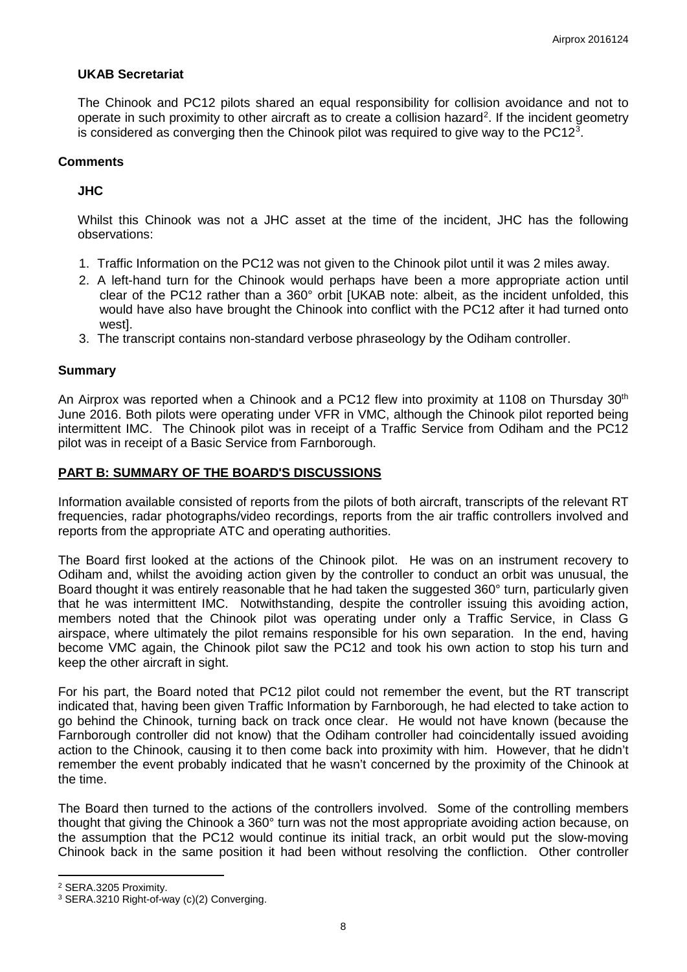## **UKAB Secretariat**

The Chinook and PC12 pilots shared an equal responsibility for collision avoidance and not to operate in such proximity to other aircraft as to create a collision hazard<sup>[2](#page-7-0)</sup>. If the incident geometry is considered as converging then the Chinook pilot was required to give way to the PC12<sup>[3](#page-7-1)</sup>.

#### **Comments**

## **JHC**

Whilst this Chinook was not a JHC asset at the time of the incident, JHC has the following observations:

- 1. Traffic Information on the PC12 was not given to the Chinook pilot until it was 2 miles away.
- 2. A left-hand turn for the Chinook would perhaps have been a more appropriate action until clear of the PC12 rather than a 360° orbit [UKAB note: albeit, as the incident unfolded, this would have also have brought the Chinook into conflict with the PC12 after it had turned onto west].
- 3. The transcript contains non-standard verbose phraseology by the Odiham controller.

### **Summary**

An Airprox was reported when a Chinook and a PC12 flew into proximity at 1108 on Thursday 30<sup>th</sup> June 2016. Both pilots were operating under VFR in VMC, although the Chinook pilot reported being intermittent IMC. The Chinook pilot was in receipt of a Traffic Service from Odiham and the PC12 pilot was in receipt of a Basic Service from Farnborough.

## **PART B: SUMMARY OF THE BOARD'S DISCUSSIONS**

Information available consisted of reports from the pilots of both aircraft, transcripts of the relevant RT frequencies, radar photographs/video recordings, reports from the air traffic controllers involved and reports from the appropriate ATC and operating authorities.

The Board first looked at the actions of the Chinook pilot. He was on an instrument recovery to Odiham and, whilst the avoiding action given by the controller to conduct an orbit was unusual, the Board thought it was entirely reasonable that he had taken the suggested 360° turn, particularly given that he was intermittent IMC. Notwithstanding, despite the controller issuing this avoiding action, members noted that the Chinook pilot was operating under only a Traffic Service, in Class G airspace, where ultimately the pilot remains responsible for his own separation. In the end, having become VMC again, the Chinook pilot saw the PC12 and took his own action to stop his turn and keep the other aircraft in sight.

For his part, the Board noted that PC12 pilot could not remember the event, but the RT transcript indicated that, having been given Traffic Information by Farnborough, he had elected to take action to go behind the Chinook, turning back on track once clear. He would not have known (because the Farnborough controller did not know) that the Odiham controller had coincidentally issued avoiding action to the Chinook, causing it to then come back into proximity with him. However, that he didn't remember the event probably indicated that he wasn't concerned by the proximity of the Chinook at the time.

The Board then turned to the actions of the controllers involved. Some of the controlling members thought that giving the Chinook a 360° turn was not the most appropriate avoiding action because, on the assumption that the PC12 would continue its initial track, an orbit would put the slow-moving Chinook back in the same position it had been without resolving the confliction. Other controller

l

<span id="page-7-0"></span><sup>2</sup> SERA.3205 Proximity.

<span id="page-7-1"></span><sup>3</sup> SERA.3210 Right-of-way (c)(2) Converging.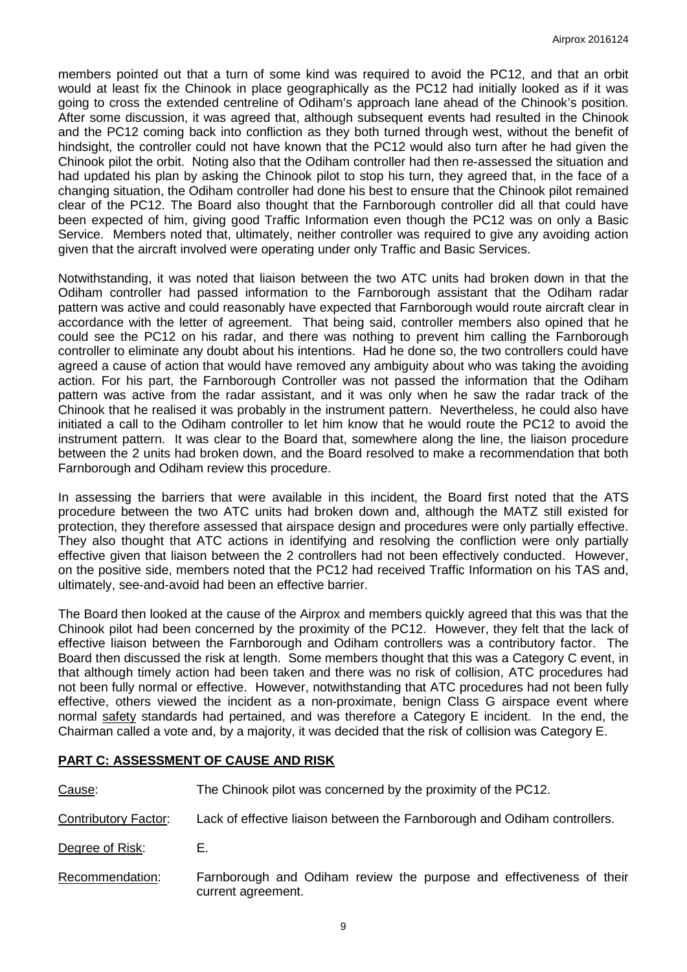members pointed out that a turn of some kind was required to avoid the PC12, and that an orbit would at least fix the Chinook in place geographically as the PC12 had initially looked as if it was going to cross the extended centreline of Odiham's approach lane ahead of the Chinook's position. After some discussion, it was agreed that, although subsequent events had resulted in the Chinook and the PC12 coming back into confliction as they both turned through west, without the benefit of hindsight, the controller could not have known that the PC12 would also turn after he had given the Chinook pilot the orbit. Noting also that the Odiham controller had then re-assessed the situation and had updated his plan by asking the Chinook pilot to stop his turn, they agreed that, in the face of a changing situation, the Odiham controller had done his best to ensure that the Chinook pilot remained clear of the PC12. The Board also thought that the Farnborough controller did all that could have been expected of him, giving good Traffic Information even though the PC12 was on only a Basic Service. Members noted that, ultimately, neither controller was required to give any avoiding action given that the aircraft involved were operating under only Traffic and Basic Services.

Notwithstanding, it was noted that liaison between the two ATC units had broken down in that the Odiham controller had passed information to the Farnborough assistant that the Odiham radar pattern was active and could reasonably have expected that Farnborough would route aircraft clear in accordance with the letter of agreement. That being said, controller members also opined that he could see the PC12 on his radar, and there was nothing to prevent him calling the Farnborough controller to eliminate any doubt about his intentions. Had he done so, the two controllers could have agreed a cause of action that would have removed any ambiguity about who was taking the avoiding action. For his part, the Farnborough Controller was not passed the information that the Odiham pattern was active from the radar assistant, and it was only when he saw the radar track of the Chinook that he realised it was probably in the instrument pattern. Nevertheless, he could also have initiated a call to the Odiham controller to let him know that he would route the PC12 to avoid the instrument pattern. It was clear to the Board that, somewhere along the line, the liaison procedure between the 2 units had broken down, and the Board resolved to make a recommendation that both Farnborough and Odiham review this procedure.

In assessing the barriers that were available in this incident, the Board first noted that the ATS procedure between the two ATC units had broken down and, although the MATZ still existed for protection, they therefore assessed that airspace design and procedures were only partially effective. They also thought that ATC actions in identifying and resolving the confliction were only partially effective given that liaison between the 2 controllers had not been effectively conducted. However, on the positive side, members noted that the PC12 had received Traffic Information on his TAS and, ultimately, see-and-avoid had been an effective barrier.

The Board then looked at the cause of the Airprox and members quickly agreed that this was that the Chinook pilot had been concerned by the proximity of the PC12. However, they felt that the lack of effective liaison between the Farnborough and Odiham controllers was a contributory factor. The Board then discussed the risk at length. Some members thought that this was a Category C event, in that although timely action had been taken and there was no risk of collision, ATC procedures had not been fully normal or effective. However, notwithstanding that ATC procedures had not been fully effective, others viewed the incident as a non-proximate, benign Class G airspace event where normal safety standards had pertained, and was therefore a Category E incident. In the end, the Chairman called a vote and, by a majority, it was decided that the risk of collision was Category E.

# **PART C: ASSESSMENT OF CAUSE AND RISK**

| Cause:                      | The Chinook pilot was concerned by the proximity of the PC12.                              |  |  |  |
|-----------------------------|--------------------------------------------------------------------------------------------|--|--|--|
| <b>Contributory Factor:</b> | Lack of effective liaison between the Farnborough and Odiham controllers.                  |  |  |  |
| Degree of Risk:             | Е.                                                                                         |  |  |  |
| Recommendation:             | Farnborough and Odiham review the purpose and effectiveness of their<br>current agreement. |  |  |  |